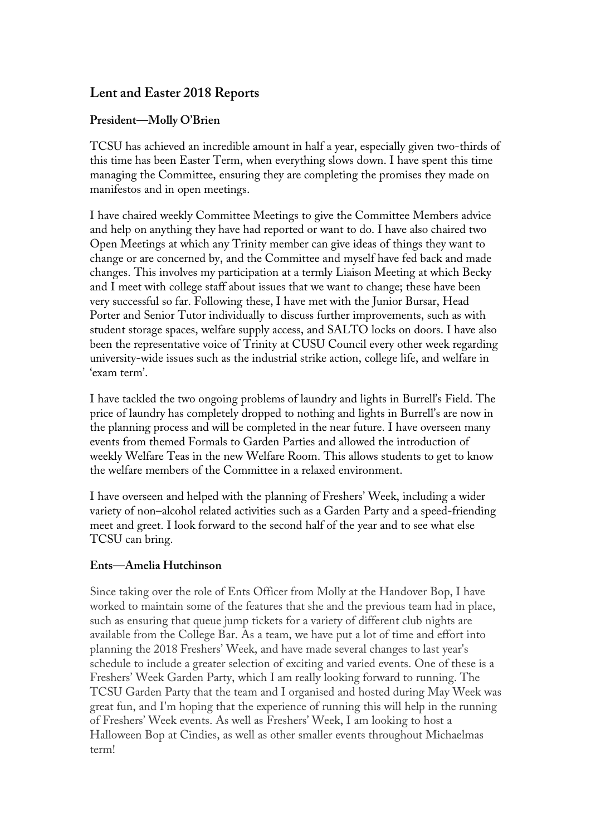# **Lent and Easter 2018 Reports**

## **President—Molly O'Brien**

TCSU has achieved an incredible amount in half a year, especially given two-thirds of this time has been Easter Term, when everything slows down. I have spent this time managing the Committee, ensuring they are completing the promises they made on manifestos and in open meetings.

I have chaired weekly Committee Meetings to give the Committee Members advice and help on anything they have had reported or want to do. I have also chaired two Open Meetings at which any Trinity member can give ideas of things they want to change or are concerned by, and the Committee and myself have fed back and made changes. This involves my participation at a termly Liaison Meeting at which Becky and I meet with college staff about issues that we want to change; these have been very successful so far. Following these, I have met with the Junior Bursar, Head Porter and Senior Tutor individually to discuss further improvements, such as with student storage spaces, welfare supply access, and SALTO locks on doors. I have also been the representative voice of Trinity at CUSU Council every other week regarding university-wide issues such as the industrial strike action, college life, and welfare in 'exam term'.

I have tackled the two ongoing problems of laundry and lights in Burrell's Field. The price of laundry has completely dropped to nothing and lights in Burrell's are now in the planning process and will be completed in the near future. I have overseen many events from themed Formals to Garden Parties and allowed the introduction of weekly Welfare Teas in the new Welfare Room. This allows students to get to know the welfare members of the Committee in a relaxed environment.

I have overseen and helped with the planning of Freshers' Week, including a wider variety of non–alcohol related activities such as a Garden Party and a speed-friending meet and greet. I look forward to the second half of the year and to see what else TCSU can bring.

#### **Ents—Amelia Hutchinson**

Since taking over the role of Ents Officer from Molly at the Handover Bop, I have worked to maintain some of the features that she and the previous team had in place, such as ensuring that queue jump tickets for a variety of different club nights are available from the College Bar. As a team, we have put a lot of time and effort into planning the 2018 Freshers' Week, and have made several changes to last year's schedule to include a greater selection of exciting and varied events. One of these is a Freshers' Week Garden Party, which I am really looking forward to running. The TCSU Garden Party that the team and I organised and hosted during May Week was great fun, and I'm hoping that the experience of running this will help in the running of Freshers' Week events. As well as Freshers' Week, I am looking to host a Halloween Bop at Cindies, as well as other smaller events throughout Michaelmas term!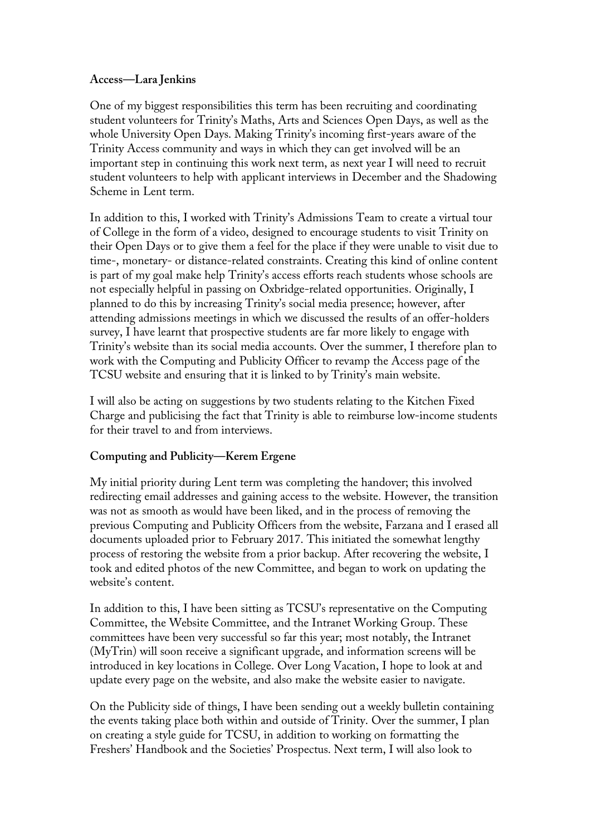#### **Access—Lara Jenkins**

One of my biggest responsibilities this term has been recruiting and coordinating student volunteers for Trinity's Maths, Arts and Sciences Open Days, as well as the whole University Open Days. Making Trinity's incoming first-years aware of the Trinity Access community and ways in which they can get involved will be an important step in continuing this work next term, as next year I will need to recruit student volunteers to help with applicant interviews in December and the Shadowing Scheme in Lent term.

In addition to this, I worked with Trinity's Admissions Team to create a virtual tour of College in the form of a video, designed to encourage students to visit Trinity on their Open Days or to give them a feel for the place if they were unable to visit due to time-, monetary- or distance-related constraints. Creating this kind of online content is part of my goal make help Trinity's access efforts reach students whose schools are not especially helpful in passing on Oxbridge-related opportunities. Originally, I planned to do this by increasing Trinity's social media presence; however, after attending admissions meetings in which we discussed the results of an offer-holders survey, I have learnt that prospective students are far more likely to engage with Trinity's website than its social media accounts. Over the summer, I therefore plan to work with the Computing and Publicity Officer to revamp the Access page of the TCSU website and ensuring that it is linked to by Trinity's main website.

I will also be acting on suggestions by two students relating to the Kitchen Fixed Charge and publicising the fact that Trinity is able to reimburse low-income students for their travel to and from interviews.

## **Computing and Publicity—Kerem Ergene**

My initial priority during Lent term was completing the handover; this involved redirecting email addresses and gaining access to the website. However, the transition was not as smooth as would have been liked, and in the process of removing the previous Computing and Publicity Officers from the website, Farzana and I erased all documents uploaded prior to February 2017. This initiated the somewhat lengthy process of restoring the website from a prior backup. After recovering the website, I took and edited photos of the new Committee, and began to work on updating the website's content.

In addition to this, I have been sitting as TCSU's representative on the Computing Committee, the Website Committee, and the Intranet Working Group. These committees have been very successful so far this year; most notably, the Intranet (MyTrin) will soon receive a significant upgrade, and information screens will be introduced in key locations in College. Over Long Vacation, I hope to look at and update every page on the website, and also make the website easier to navigate.

On the Publicity side of things, I have been sending out a weekly bulletin containing the events taking place both within and outside of Trinity. Over the summer, I plan on creating a style guide for TCSU, in addition to working on formatting the Freshers' Handbook and the Societies' Prospectus. Next term, I will also look to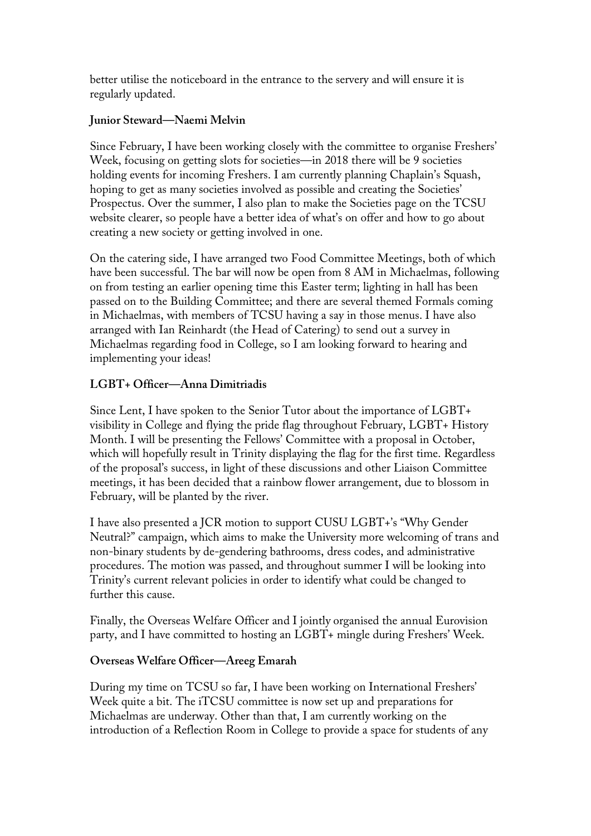better utilise the noticeboard in the entrance to the servery and will ensure it is regularly updated.

## **Junior Steward—Naemi Melvin**

Since February, I have been working closely with the committee to organise Freshers' Week, focusing on getting slots for societies—in 2018 there will be 9 societies holding events for incoming Freshers. I am currently planning Chaplain's Squash, hoping to get as many societies involved as possible and creating the Societies' Prospectus. Over the summer, I also plan to make the Societies page on the TCSU website clearer, so people have a better idea of what's on offer and how to go about creating a new society or getting involved in one.

On the catering side, I have arranged two Food Committee Meetings, both of which have been successful. The bar will now be open from 8 AM in Michaelmas, following on from testing an earlier opening time this Easter term; lighting in hall has been passed on to the Building Committee; and there are several themed Formals coming in Michaelmas, with members of TCSU having a say in those menus. I have also arranged with Ian Reinhardt (the Head of Catering) to send out a survey in Michaelmas regarding food in College, so I am looking forward to hearing and implementing your ideas!

## **LGBT+ Officer—Anna Dimitriadis**

Since Lent, I have spoken to the Senior Tutor about the importance of LGBT+ visibility in College and flying the pride flag throughout February, LGBT+ History Month. I will be presenting the Fellows' Committee with a proposal in October, which will hopefully result in Trinity displaying the flag for the first time. Regardless of the proposal's success, in light of these discussions and other Liaison Committee meetings, it has been decided that a rainbow flower arrangement, due to blossom in February, will be planted by the river.

I have also presented a JCR motion to support CUSU LGBT+'s "Why Gender Neutral?" campaign, which aims to make the University more welcoming of trans and non-binary students by de-gendering bathrooms, dress codes, and administrative procedures. The motion was passed, and throughout summer I will be looking into Trinity's current relevant policies in order to identify what could be changed to further this cause.

Finally, the Overseas Welfare Officer and I jointly organised the annual Eurovision party, and I have committed to hosting an LGBT+ mingle during Freshers' Week.

## **Overseas Welfare Officer—Areeg Emarah**

During my time on TCSU so far, I have been working on International Freshers' Week quite a bit. The iTCSU committee is now set up and preparations for Michaelmas are underway. Other than that, I am currently working on the introduction of a Reflection Room in College to provide a space for students of any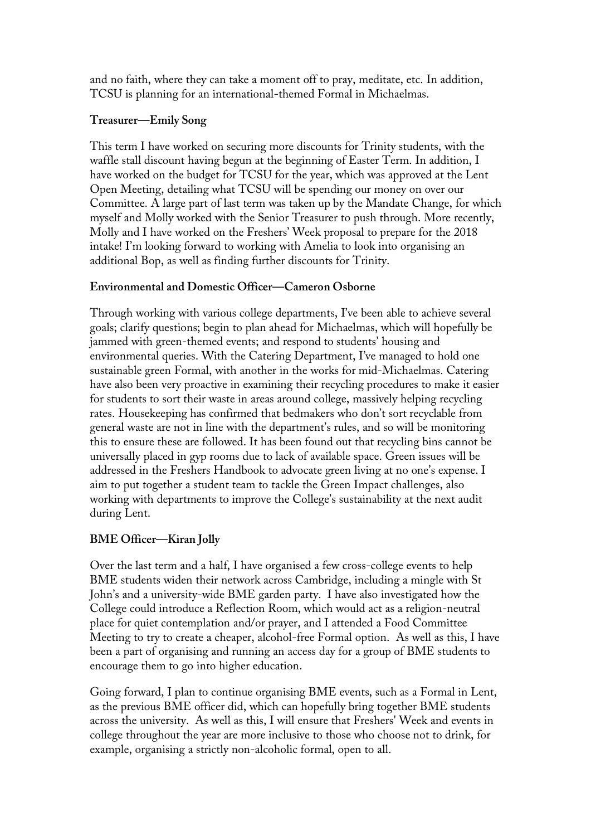and no faith, where they can take a moment off to pray, meditate, etc. In addition, TCSU is planning for an international-themed Formal in Michaelmas.

#### **Treasurer—Emily Song**

This term I have worked on securing more discounts for Trinity students, with the waffle stall discount having begun at the beginning of Easter Term. In addition, I have worked on the budget for TCSU for the year, which was approved at the Lent Open Meeting, detailing what TCSU will be spending our money on over our Committee. A large part of last term was taken up by the Mandate Change, for which myself and Molly worked with the Senior Treasurer to push through. More recently, Molly and I have worked on the Freshers' Week proposal to prepare for the 2018 intake! I'm looking forward to working with Amelia to look into organising an additional Bop, as well as finding further discounts for Trinity.

## **Environmental and Domestic Officer—Cameron Osborne**

Through working with various college departments, I've been able to achieve several goals; clarify questions; begin to plan ahead for Michaelmas, which will hopefully be jammed with green-themed events; and respond to students' housing and environmental queries. With the Catering Department, I've managed to hold one sustainable green Formal, with another in the works for mid-Michaelmas. Catering have also been very proactive in examining their recycling procedures to make it easier for students to sort their waste in areas around college, massively helping recycling rates. Housekeeping has confirmed that bedmakers who don't sort recyclable from general waste are not in line with the department's rules, and so will be monitoring this to ensure these are followed. It has been found out that recycling bins cannot be universally placed in gyp rooms due to lack of available space. Green issues will be addressed in the Freshers Handbook to advocate green living at no one's expense. I aim to put together a student team to tackle the Green Impact challenges, also working with departments to improve the College's sustainability at the next audit during Lent.

## **BME Officer—Kiran Jolly**

Over the last term and a half, I have organised a few cross-college events to help BME students widen their network across Cambridge, including a mingle with St John's and a university-wide BME garden party. I have also investigated how the College could introduce a Reflection Room, which would act as a religion-neutral place for quiet contemplation and/or prayer, and I attended a Food Committee Meeting to try to create a cheaper, alcohol-free Formal option. As well as this, I have been a part of organising and running an access day for a group of BME students to encourage them to go into higher education.

Going forward, I plan to continue organising BME events, such as a Formal in Lent, as the previous BME officer did, which can hopefully bring together BME students across the university. As well as this, I will ensure that Freshers' Week and events in college throughout the year are more inclusive to those who choose not to drink, for example, organising a strictly non-alcoholic formal, open to all.